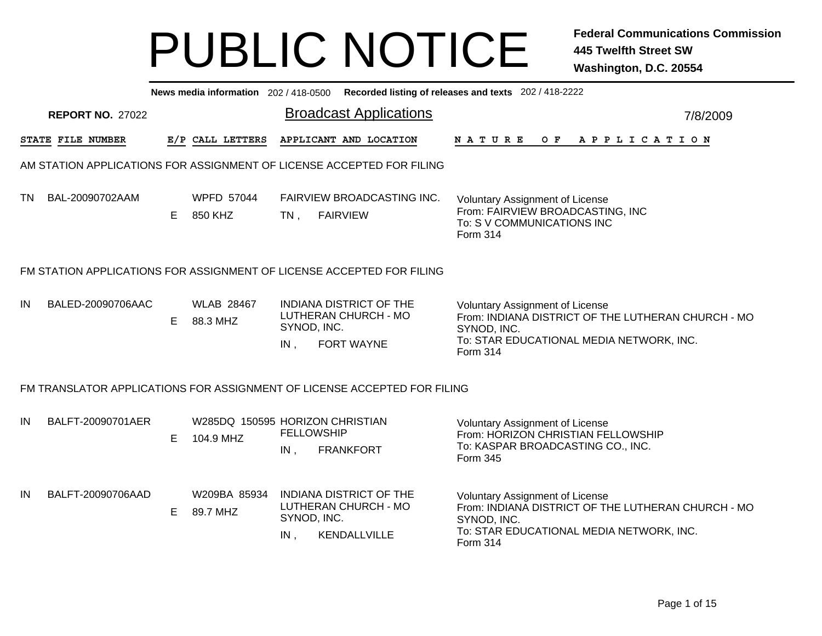|    | News media information 202 / 418-0500 Recorded listing of releases and texts 202 / 418-2222                                                                                                                                                                                                                            |    |                                              |                          |                                                                        |                                                                                                                               |  |  |  |  |                |  |  |  |                                                    |
|----|------------------------------------------------------------------------------------------------------------------------------------------------------------------------------------------------------------------------------------------------------------------------------------------------------------------------|----|----------------------------------------------|--------------------------|------------------------------------------------------------------------|-------------------------------------------------------------------------------------------------------------------------------|--|--|--|--|----------------|--|--|--|----------------------------------------------------|
|    | <b>REPORT NO. 27022</b>                                                                                                                                                                                                                                                                                                |    |                                              |                          | <b>Broadcast Applications</b>                                          |                                                                                                                               |  |  |  |  |                |  |  |  | 7/8/2009                                           |
|    | STATE FILE NUMBER                                                                                                                                                                                                                                                                                                      |    | E/P CALL LETTERS                             |                          | APPLICANT AND LOCATION                                                 | <b>NATURE</b>                                                                                                                 |  |  |  |  | OF APPLICATION |  |  |  |                                                    |
|    | AM STATION APPLICATIONS FOR ASSIGNMENT OF LICENSE ACCEPTED FOR FILING                                                                                                                                                                                                                                                  |    |                                              |                          |                                                                        |                                                                                                                               |  |  |  |  |                |  |  |  |                                                    |
| TN | BAL-20090702AAM                                                                                                                                                                                                                                                                                                        | E. | <b>WPFD 57044</b><br>850 KHZ                 | $TN$ ,                   | <b>FAIRVIEW BROADCASTING INC.</b><br><b>FAIRVIEW</b>                   | <b>Voluntary Assignment of License</b><br>From: FAIRVIEW BROADCASTING, INC<br>To: S V COMMUNICATIONS INC<br>Form 314          |  |  |  |  |                |  |  |  |                                                    |
|    | FM STATION APPLICATIONS FOR ASSIGNMENT OF LICENSE ACCEPTED FOR FILING                                                                                                                                                                                                                                                  |    |                                              |                          |                                                                        |                                                                                                                               |  |  |  |  |                |  |  |  |                                                    |
| IN | <b>WLAB 28467</b><br><b>INDIANA DISTRICT OF THE</b><br>BALED-20090706AAC<br>Voluntary Assignment of License<br>LUTHERAN CHURCH - MO<br>From: INDIANA DISTRICT OF THE LUTHERAN CHURCH - MO<br>88.3 MHZ<br>E.<br>SYNOD, INC.<br>SYNOD, INC.<br>To: STAR EDUCATIONAL MEDIA NETWORK, INC.<br>FORT WAYNE<br>IN,<br>Form 314 |    |                                              |                          |                                                                        |                                                                                                                               |  |  |  |  |                |  |  |  |                                                    |
|    | FM TRANSLATOR APPLICATIONS FOR ASSIGNMENT OF LICENSE ACCEPTED FOR FILING                                                                                                                                                                                                                                               |    |                                              |                          |                                                                        |                                                                                                                               |  |  |  |  |                |  |  |  |                                                    |
| IN | BALFT-20090701AER                                                                                                                                                                                                                                                                                                      | E. | W285DQ 150595 HORIZON CHRISTIAN<br>104.9 MHZ | <b>FELLOWSHIP</b><br>IN, | <b>FRANKFORT</b>                                                       | <b>Voluntary Assignment of License</b><br>From: HORIZON CHRISTIAN FELLOWSHIP<br>To: KASPAR BROADCASTING CO., INC.<br>Form 345 |  |  |  |  |                |  |  |  |                                                    |
| IN | BALFT-20090706AAD                                                                                                                                                                                                                                                                                                      | E. | W209BA 85934<br>89.7 MHZ                     | SYNOD, INC.<br>$IN$ ,    | <b>INDIANA DISTRICT OF THE</b><br>LUTHERAN CHURCH - MO<br>KENDALLVILLE | <b>Voluntary Assignment of License</b><br>SYNOD, INC.<br>To: STAR EDUCATIONAL MEDIA NETWORK, INC.<br>Form 314                 |  |  |  |  |                |  |  |  | From: INDIANA DISTRICT OF THE LUTHERAN CHURCH - MO |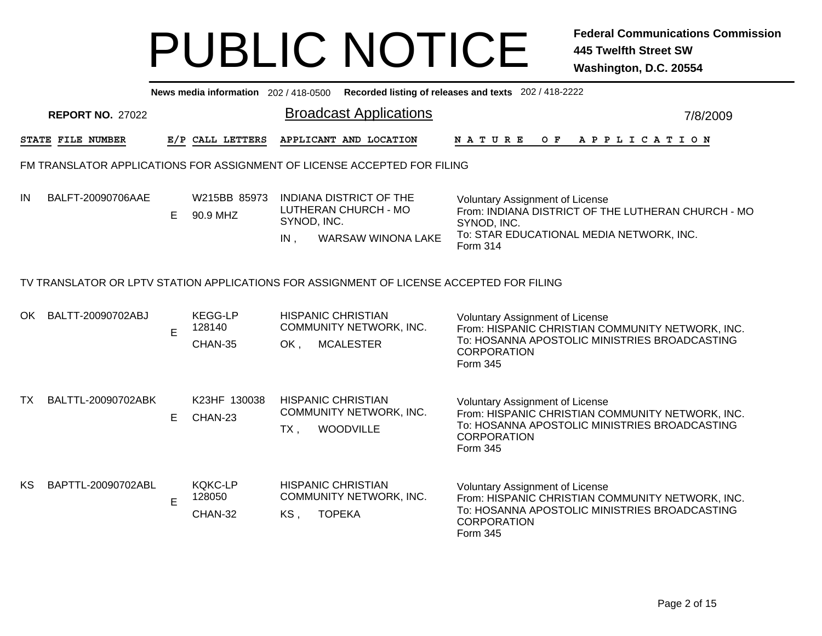|     | News media information 202/418-0500 Recorded listing of releases and texts 202/418-2222  |    |                                     |                                                                                                           |  |                                                                                                                                                                               |          |  |  |  |  |  |  |
|-----|------------------------------------------------------------------------------------------|----|-------------------------------------|-----------------------------------------------------------------------------------------------------------|--|-------------------------------------------------------------------------------------------------------------------------------------------------------------------------------|----------|--|--|--|--|--|--|
|     | <b>REPORT NO. 27022</b>                                                                  |    |                                     | <b>Broadcast Applications</b>                                                                             |  |                                                                                                                                                                               | 7/8/2009 |  |  |  |  |  |  |
|     | STATE FILE NUMBER                                                                        |    | E/P CALL LETTERS                    | APPLICANT AND LOCATION                                                                                    |  | O F<br><b>NATURE</b><br>A P P L I C A T I O N                                                                                                                                 |          |  |  |  |  |  |  |
|     | FM TRANSLATOR APPLICATIONS FOR ASSIGNMENT OF LICENSE ACCEPTED FOR FILING                 |    |                                     |                                                                                                           |  |                                                                                                                                                                               |          |  |  |  |  |  |  |
| IN  | BALFT-20090706AAE                                                                        | E. | W215BB 85973<br>90.9 MHZ            | <b>INDIANA DISTRICT OF THE</b><br>LUTHERAN CHURCH - MO<br>SYNOD, INC.<br><b>WARSAW WINONA LAKE</b><br>IN, |  | <b>Voluntary Assignment of License</b><br>From: INDIANA DISTRICT OF THE LUTHERAN CHURCH - MO<br>SYNOD, INC.<br>To: STAR EDUCATIONAL MEDIA NETWORK, INC.<br>Form 314           |          |  |  |  |  |  |  |
|     | TV TRANSLATOR OR LPTV STATION APPLICATIONS FOR ASSIGNMENT OF LICENSE ACCEPTED FOR FILING |    |                                     |                                                                                                           |  |                                                                                                                                                                               |          |  |  |  |  |  |  |
| OK. | BALTT-20090702ABJ                                                                        | E  | <b>KEGG-LP</b><br>128140<br>CHAN-35 | <b>HISPANIC CHRISTIAN</b><br>COMMUNITY NETWORK, INC.<br><b>MCALESTER</b><br>OK,                           |  | <b>Voluntary Assignment of License</b><br>From: HISPANIC CHRISTIAN COMMUNITY NETWORK, INC.<br>To: HOSANNA APOSTOLIC MINISTRIES BROADCASTING<br><b>CORPORATION</b><br>Form 345 |          |  |  |  |  |  |  |
| TX. | BALTTL-20090702ABK                                                                       | E  | K23HF 130038<br>CHAN-23             | <b>HISPANIC CHRISTIAN</b><br><b>COMMUNITY NETWORK, INC.</b><br><b>WOODVILLE</b><br>$TX$ ,                 |  | <b>Voluntary Assignment of License</b><br>From: HISPANIC CHRISTIAN COMMUNITY NETWORK, INC.<br>To: HOSANNA APOSTOLIC MINISTRIES BROADCASTING<br><b>CORPORATION</b><br>Form 345 |          |  |  |  |  |  |  |
| KS. | BAPTTL-20090702ABL                                                                       | E  | <b>KQKC-LP</b><br>128050<br>CHAN-32 | <b>HISPANIC CHRISTIAN</b><br><b>COMMUNITY NETWORK, INC.</b><br><b>TOPEKA</b><br>KS,                       |  | <b>Voluntary Assignment of License</b><br>From: HISPANIC CHRISTIAN COMMUNITY NETWORK, INC.<br>To: HOSANNA APOSTOLIC MINISTRIES BROADCASTING<br><b>CORPORATION</b><br>Form 345 |          |  |  |  |  |  |  |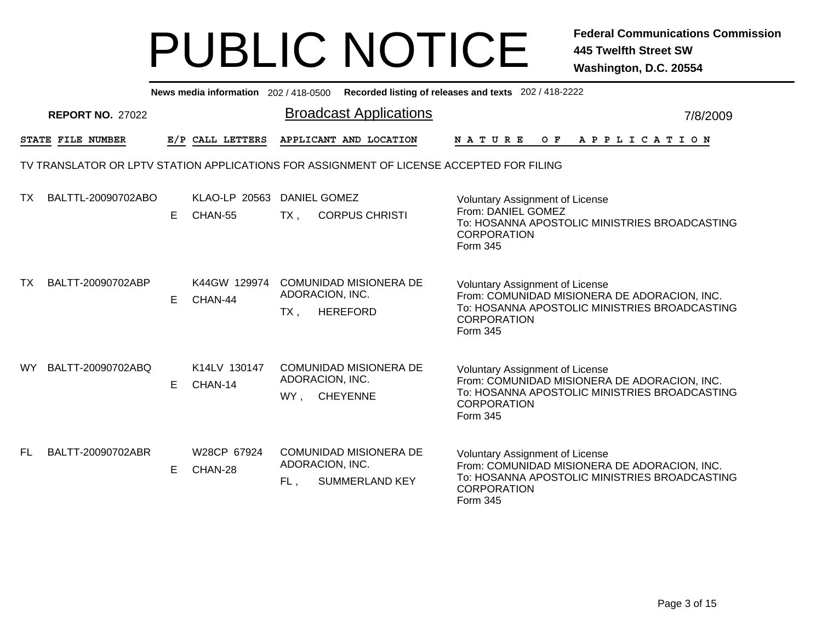|     | News media information 202 / 418-0500 Recorded listing of releases and texts 202 / 418-2222 |   |                          |        |                                                                                          |                                                                                                                                                                           |  |  |  |  |  |  |  |
|-----|---------------------------------------------------------------------------------------------|---|--------------------------|--------|------------------------------------------------------------------------------------------|---------------------------------------------------------------------------------------------------------------------------------------------------------------------------|--|--|--|--|--|--|--|
|     | <b>REPORT NO. 27022</b>                                                                     |   |                          |        | <b>Broadcast Applications</b>                                                            | 7/8/2009                                                                                                                                                                  |  |  |  |  |  |  |  |
|     | STATE FILE NUMBER                                                                           |   | E/P CALL LETTERS         |        | APPLICANT AND LOCATION                                                                   | <b>NATURE</b><br>OF APPLICATION                                                                                                                                           |  |  |  |  |  |  |  |
|     |                                                                                             |   |                          |        | TV TRANSLATOR OR LPTV STATION APPLICATIONS FOR ASSIGNMENT OF LICENSE ACCEPTED FOR FILING |                                                                                                                                                                           |  |  |  |  |  |  |  |
| ТX  | BALTTL-20090702ABO                                                                          | E | KLAO-LP 20563<br>CHAN-55 | $TX$ , | <b>DANIEL GOMEZ</b><br><b>CORPUS CHRISTI</b>                                             | Voluntary Assignment of License<br>From: DANIEL GOMEZ<br>To: HOSANNA APOSTOLIC MINISTRIES BROADCASTING<br><b>CORPORATION</b><br>Form 345                                  |  |  |  |  |  |  |  |
| TX  | BALTT-20090702ABP                                                                           | E | K44GW 129974<br>CHAN-44  | $TX$ , | COMUNIDAD MISIONERA DE<br>ADORACION, INC.<br><b>HEREFORD</b>                             | <b>Voluntary Assignment of License</b><br>From: COMUNIDAD MISIONERA DE ADORACION, INC.<br>To: HOSANNA APOSTOLIC MINISTRIES BROADCASTING<br><b>CORPORATION</b><br>Form 345 |  |  |  |  |  |  |  |
| WY. | BALTT-20090702ABQ                                                                           | E | K14LV 130147<br>CHAN-14  | WY,    | <b>COMUNIDAD MISIONERA DE</b><br>ADORACION, INC.<br><b>CHEYENNE</b>                      | <b>Voluntary Assignment of License</b><br>From: COMUNIDAD MISIONERA DE ADORACION, INC.<br>To: HOSANNA APOSTOLIC MINISTRIES BROADCASTING<br><b>CORPORATION</b><br>Form 345 |  |  |  |  |  |  |  |
| FL. | BALTT-20090702ABR                                                                           | E | W28CP 67924<br>CHAN-28   | FL,    | COMUNIDAD MISIONERA DE<br>ADORACION, INC.<br><b>SUMMERLAND KEY</b>                       | <b>Voluntary Assignment of License</b><br>From: COMUNIDAD MISIONERA DE ADORACION, INC.<br>To: HOSANNA APOSTOLIC MINISTRIES BROADCASTING<br><b>CORPORATION</b><br>Form 345 |  |  |  |  |  |  |  |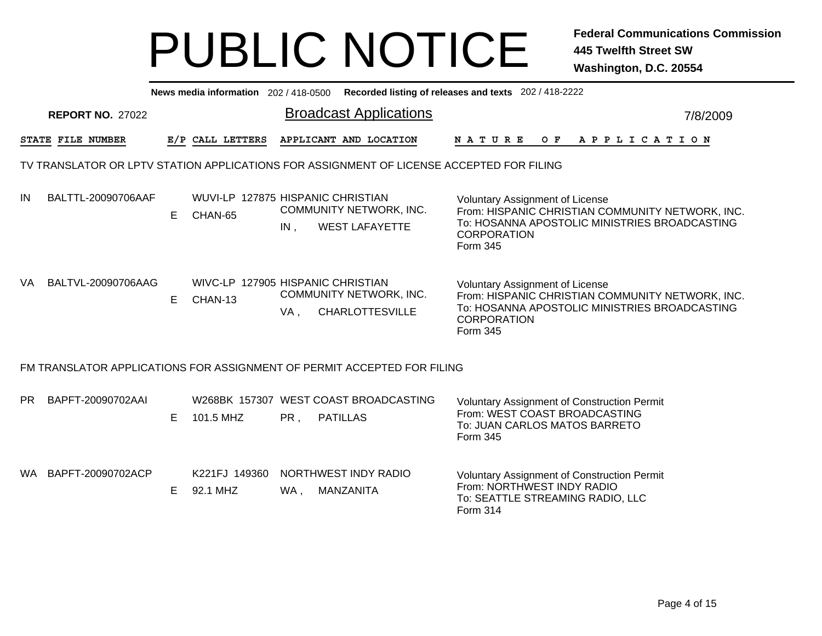|           | News media information 202/418-0500 Recorded listing of releases and texts 202/418-2222 |    |                                              |     |                                                                                          |                                                                                                                                                                               |          |  |  |  |  |  |
|-----------|-----------------------------------------------------------------------------------------|----|----------------------------------------------|-----|------------------------------------------------------------------------------------------|-------------------------------------------------------------------------------------------------------------------------------------------------------------------------------|----------|--|--|--|--|--|
|           | <b>REPORT NO. 27022</b>                                                                 |    |                                              |     | <b>Broadcast Applications</b>                                                            |                                                                                                                                                                               | 7/8/2009 |  |  |  |  |  |
|           | STATE FILE NUMBER                                                                       |    | E/P CALL LETTERS                             |     | APPLICANT AND LOCATION                                                                   | N A T U R E<br>O F<br>A P P L I C A T I O N                                                                                                                                   |          |  |  |  |  |  |
|           |                                                                                         |    |                                              |     | TV TRANSLATOR OR LPTV STATION APPLICATIONS FOR ASSIGNMENT OF LICENSE ACCEPTED FOR FILING |                                                                                                                                                                               |          |  |  |  |  |  |
| IN        | BALTTL-20090706AAF                                                                      | E. | WUVI-LP 127875 HISPANIC CHRISTIAN<br>CHAN-65 | IN. | COMMUNITY NETWORK, INC.<br><b>WEST LAFAYETTE</b>                                         | <b>Voluntary Assignment of License</b><br>From: HISPANIC CHRISTIAN COMMUNITY NETWORK, INC.<br>To: HOSANNA APOSTOLIC MINISTRIES BROADCASTING<br><b>CORPORATION</b><br>Form 345 |          |  |  |  |  |  |
| VA        | BALTVL-20090706AAG                                                                      | E. | WIVC-LP 127905 HISPANIC CHRISTIAN<br>CHAN-13 | VA, | COMMUNITY NETWORK, INC.<br><b>CHARLOTTESVILLE</b>                                        | <b>Voluntary Assignment of License</b><br>From: HISPANIC CHRISTIAN COMMUNITY NETWORK, INC.<br>To: HOSANNA APOSTOLIC MINISTRIES BROADCASTING<br><b>CORPORATION</b><br>Form 345 |          |  |  |  |  |  |
|           |                                                                                         |    |                                              |     | FM TRANSLATOR APPLICATIONS FOR ASSIGNMENT OF PERMIT ACCEPTED FOR FILING                  |                                                                                                                                                                               |          |  |  |  |  |  |
| <b>PR</b> | BAPFT-20090702AAI                                                                       | E. | 101.5 MHZ                                    | PR, | W268BK 157307 WEST COAST BROADCASTING<br><b>PATILLAS</b>                                 | <b>Voluntary Assignment of Construction Permit</b><br>From: WEST COAST BROADCASTING<br>To: JUAN CARLOS MATOS BARRETO<br>Form 345                                              |          |  |  |  |  |  |
|           | WA BAPFT-20090702ACP                                                                    | E  | K221FJ 149360<br>92.1 MHZ                    | WA, | NORTHWEST INDY RADIO<br>MANZANITA                                                        | <b>Voluntary Assignment of Construction Permit</b><br>From: NORTHWEST INDY RADIO<br>To: SEATTLE STREAMING RADIO, LLC<br>Form 314                                              |          |  |  |  |  |  |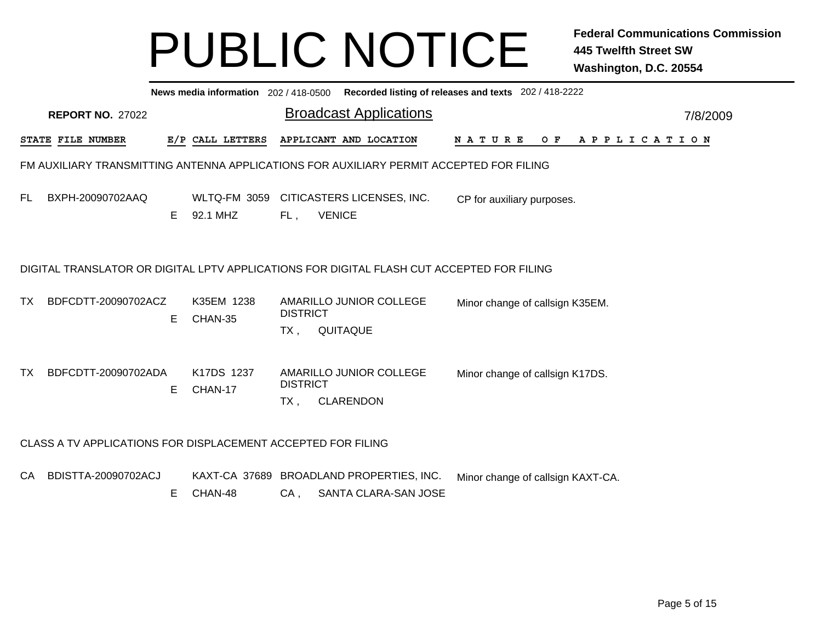|     | Recorded listing of releases and texts 202 / 418-2222<br>News media information 202 / 418-0500 |    |                                 |                           |               |                                                                  |  |                                   |  |  |  |  |     |  |  |                       |  |  |          |  |
|-----|------------------------------------------------------------------------------------------------|----|---------------------------------|---------------------------|---------------|------------------------------------------------------------------|--|-----------------------------------|--|--|--|--|-----|--|--|-----------------------|--|--|----------|--|
|     | <b>REPORT NO. 27022</b>                                                                        |    |                                 |                           |               | <b>Broadcast Applications</b>                                    |  |                                   |  |  |  |  |     |  |  |                       |  |  | 7/8/2009 |  |
|     | STATE FILE NUMBER                                                                              |    | E/P CALL LETTERS                |                           |               | APPLICANT AND LOCATION                                           |  | <b>NATURE</b>                     |  |  |  |  | O F |  |  | A P P L I C A T I O N |  |  |          |  |
|     | FM AUXILIARY TRANSMITTING ANTENNA APPLICATIONS FOR AUXILIARY PERMIT ACCEPTED FOR FILING        |    |                                 |                           |               |                                                                  |  |                                   |  |  |  |  |     |  |  |                       |  |  |          |  |
| FL. | BXPH-20090702AAQ                                                                               | E. | <b>WLTQ-FM 3059</b><br>92.1 MHZ | FL,                       | <b>VENICE</b> | CITICASTERS LICENSES, INC.                                       |  | CP for auxiliary purposes.        |  |  |  |  |     |  |  |                       |  |  |          |  |
|     | DIGITAL TRANSLATOR OR DIGITAL LPTV APPLICATIONS FOR DIGITAL FLASH CUT ACCEPTED FOR FILING      |    |                                 |                           |               |                                                                  |  |                                   |  |  |  |  |     |  |  |                       |  |  |          |  |
| TX. | BDFCDTT-20090702ACZ                                                                            | Е  | K35EM 1238<br>CHAN-35           | <b>DISTRICT</b><br>$TX$ , | QUITAQUE      | AMARILLO JUNIOR COLLEGE                                          |  | Minor change of callsign K35EM.   |  |  |  |  |     |  |  |                       |  |  |          |  |
| TX. | BDFCDTT-20090702ADA                                                                            | Е  | K17DS 1237<br>CHAN-17           | <b>DISTRICT</b><br>TX,    |               | AMARILLO JUNIOR COLLEGE<br><b>CLARENDON</b>                      |  | Minor change of callsign K17DS.   |  |  |  |  |     |  |  |                       |  |  |          |  |
|     | CLASS A TV APPLICATIONS FOR DISPLACEMENT ACCEPTED FOR FILING                                   |    |                                 |                           |               |                                                                  |  |                                   |  |  |  |  |     |  |  |                       |  |  |          |  |
| CA  | BDISTTA-20090702ACJ                                                                            | Е  | CHAN-48                         | $CA$ ,                    |               | KAXT-CA 37689 BROADLAND PROPERTIES, INC.<br>SANTA CLARA-SAN JOSE |  | Minor change of callsign KAXT-CA. |  |  |  |  |     |  |  |                       |  |  |          |  |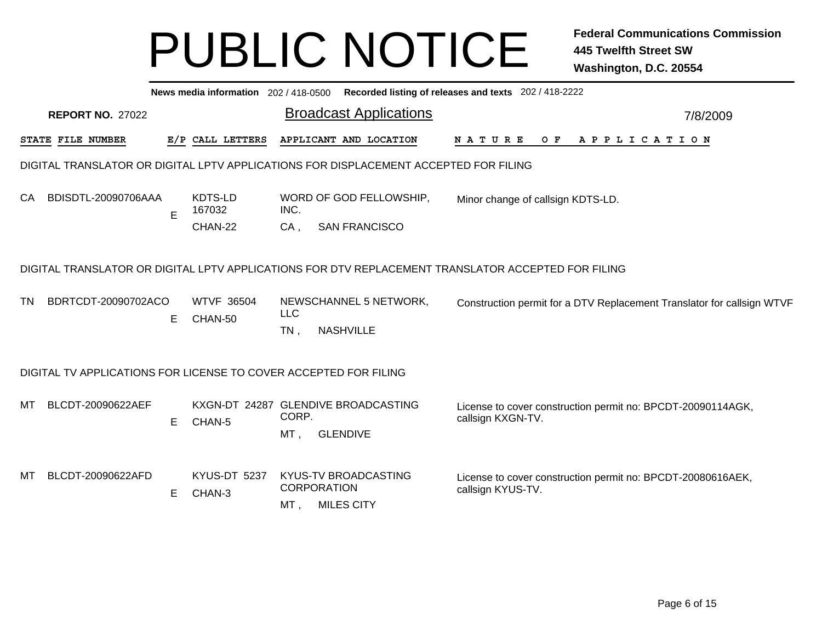|           | News media information 202 / 418-0500 Recorded listing of releases and texts 202 / 418-2222 |   |                              |                                                                                                    |                                                                                  |          |  |  |  |  |  |  |
|-----------|---------------------------------------------------------------------------------------------|---|------------------------------|----------------------------------------------------------------------------------------------------|----------------------------------------------------------------------------------|----------|--|--|--|--|--|--|
|           | <b>REPORT NO. 27022</b>                                                                     |   |                              | <b>Broadcast Applications</b>                                                                      |                                                                                  | 7/8/2009 |  |  |  |  |  |  |
|           | STATE FILE NUMBER                                                                           |   | E/P CALL LETTERS             | APPLICANT AND LOCATION                                                                             | $O$ $F$<br>APPLICATION<br><b>NATURE</b>                                          |          |  |  |  |  |  |  |
|           |                                                                                             |   |                              | DIGITAL TRANSLATOR OR DIGITAL LPTV APPLICATIONS FOR DISPLACEMENT ACCEPTED FOR FILING               |                                                                                  |          |  |  |  |  |  |  |
| CA        | BDISDTL-20090706AAA                                                                         | E | KDTS-LD<br>167032            | WORD OF GOD FELLOWSHIP,<br>INC.                                                                    | Minor change of callsign KDTS-LD.                                                |          |  |  |  |  |  |  |
|           |                                                                                             |   | CHAN-22                      | $CA$ ,<br><b>SAN FRANCISCO</b>                                                                     |                                                                                  |          |  |  |  |  |  |  |
|           |                                                                                             |   |                              | DIGITAL TRANSLATOR OR DIGITAL LPTV APPLICATIONS FOR DTV REPLACEMENT TRANSLATOR ACCEPTED FOR FILING |                                                                                  |          |  |  |  |  |  |  |
| <b>TN</b> | BDRTCDT-20090702ACO                                                                         | Е | <b>WTVF 36504</b><br>CHAN-50 | NEWSCHANNEL 5 NETWORK,<br><b>LLC</b>                                                               | Construction permit for a DTV Replacement Translator for callsign WTVF           |          |  |  |  |  |  |  |
|           |                                                                                             |   |                              | <b>NASHVILLE</b><br>TN,                                                                            |                                                                                  |          |  |  |  |  |  |  |
|           |                                                                                             |   |                              | DIGITAL TV APPLICATIONS FOR LICENSE TO COVER ACCEPTED FOR FILING                                   |                                                                                  |          |  |  |  |  |  |  |
| МT        | BLCDT-20090622AEF                                                                           | E | CHAN-5                       | KXGN-DT 24287 GLENDIVE BROADCASTING<br>CORP.                                                       | License to cover construction permit no: BPCDT-20090114AGK,<br>callsign KXGN-TV. |          |  |  |  |  |  |  |
|           |                                                                                             |   |                              | MT,<br><b>GLENDIVE</b>                                                                             |                                                                                  |          |  |  |  |  |  |  |
| МT        | BLCDT-20090622AFD                                                                           |   | KYUS-DT 5237                 | KYUS-TV BROADCASTING<br><b>CORPORATION</b>                                                         | License to cover construction permit no: BPCDT-20080616AEK,                      |          |  |  |  |  |  |  |
|           |                                                                                             | E | CHAN-3                       | MT,<br><b>MILES CITY</b>                                                                           | callsign KYUS-TV.                                                                |          |  |  |  |  |  |  |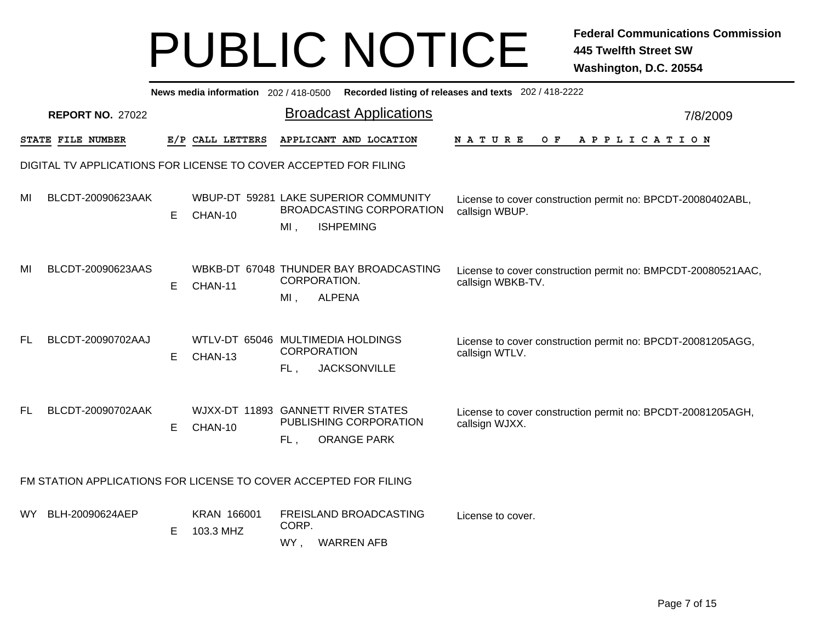|           | News media information 202/418-0500 Recorded listing of releases and texts 202/418-2222 |    |                          |                                                                                                     |                                                                                   |  |  |  |  |  |  |  |
|-----------|-----------------------------------------------------------------------------------------|----|--------------------------|-----------------------------------------------------------------------------------------------------|-----------------------------------------------------------------------------------|--|--|--|--|--|--|--|
|           | <b>REPORT NO. 27022</b>                                                                 |    |                          | <b>Broadcast Applications</b>                                                                       | 7/8/2009                                                                          |  |  |  |  |  |  |  |
|           | STATE FILE NUMBER                                                                       |    | E/P CALL LETTERS         | APPLICANT AND LOCATION                                                                              | O F<br><b>NATURE</b><br>A P P L I C A T I O N                                     |  |  |  |  |  |  |  |
|           |                                                                                         |    |                          | DIGITAL TV APPLICATIONS FOR LICENSE TO COVER ACCEPTED FOR FILING                                    |                                                                                   |  |  |  |  |  |  |  |
| MI        | BLCDT-20090623AAK                                                                       | E. | CHAN-10                  | WBUP-DT 59281 LAKE SUPERIOR COMMUNITY<br><b>BROADCASTING CORPORATION</b><br><b>ISHPEMING</b><br>MI, | License to cover construction permit no: BPCDT-20080402ABL,<br>callsign WBUP.     |  |  |  |  |  |  |  |
| MI        | BLCDT-20090623AAS                                                                       | E. | CHAN-11                  | WBKB-DT 67048 THUNDER BAY BROADCASTING<br>CORPORATION.<br><b>ALPENA</b><br>$MI$ ,                   | License to cover construction permit no: BMPCDT-20080521AAC,<br>callsign WBKB-TV. |  |  |  |  |  |  |  |
| <b>FL</b> | BLCDT-20090702AAJ                                                                       | E. | CHAN-13                  | WTLV-DT 65046 MULTIMEDIA HOLDINGS<br><b>CORPORATION</b><br><b>JACKSONVILLE</b><br>FL,               | License to cover construction permit no: BPCDT-20081205AGG,<br>callsign WTLV.     |  |  |  |  |  |  |  |
| FL        | BLCDT-20090702AAK                                                                       | E. | CHAN-10                  | WJXX-DT 11893 GANNETT RIVER STATES<br>PUBLISHING CORPORATION<br><b>ORANGE PARK</b><br>FL,           | License to cover construction permit no: BPCDT-20081205AGH,<br>callsign WJXX.     |  |  |  |  |  |  |  |
|           |                                                                                         |    |                          | FM STATION APPLICATIONS FOR LICENSE TO COVER ACCEPTED FOR FILING                                    |                                                                                   |  |  |  |  |  |  |  |
| WY.       | BLH-20090624AEP                                                                         | E. | KRAN 166001<br>103.3 MHZ | FREISLAND BROADCASTING<br>CORP.<br>WY,<br><b>WARREN AFB</b>                                         | License to cover.                                                                 |  |  |  |  |  |  |  |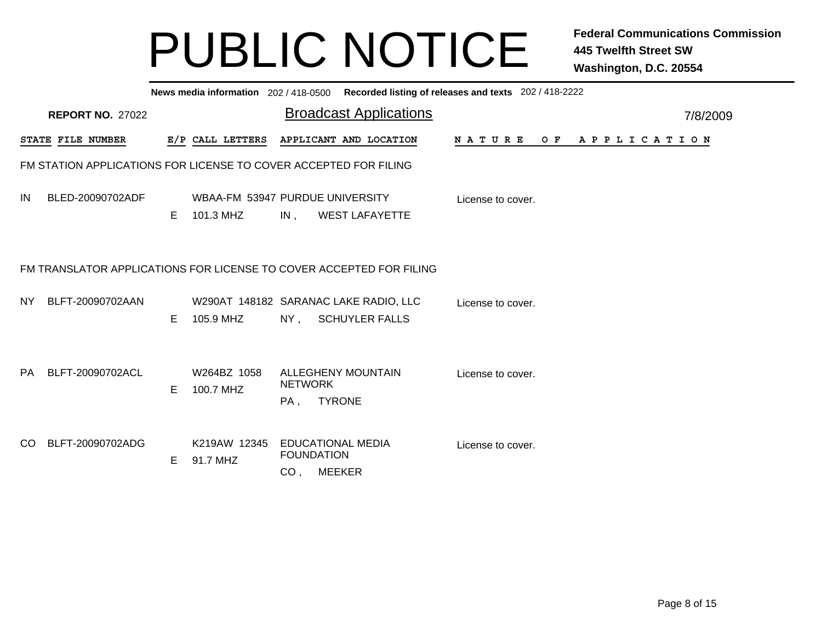|           | News media information 202/418-0500 Recorded listing of releases and texts 202/418-2222 |    |                                              |                                      |                                                                     |                   |                |  |  |  |  |  |  |
|-----------|-----------------------------------------------------------------------------------------|----|----------------------------------------------|--------------------------------------|---------------------------------------------------------------------|-------------------|----------------|--|--|--|--|--|--|
|           | <b>REPORT NO. 27022</b>                                                                 |    |                                              |                                      | <b>Broadcast Applications</b>                                       |                   | 7/8/2009       |  |  |  |  |  |  |
|           | STATE FILE NUMBER                                                                       |    | E/P CALL LETTERS                             |                                      | APPLICANT AND LOCATION                                              | N A T U R E       | OF APPLICATION |  |  |  |  |  |  |
|           | FM STATION APPLICATIONS FOR LICENSE TO COVER ACCEPTED FOR FILING                        |    |                                              |                                      |                                                                     |                   |                |  |  |  |  |  |  |
| IN        | BLED-20090702ADF                                                                        | E. | WBAA-FM 53947 PURDUE UNIVERSITY<br>101.3 MHZ | IN,                                  | <b>WEST LAFAYETTE</b>                                               | License to cover. |                |  |  |  |  |  |  |
|           |                                                                                         |    |                                              |                                      | FM TRANSLATOR APPLICATIONS FOR LICENSE TO COVER ACCEPTED FOR FILING |                   |                |  |  |  |  |  |  |
| NY .      | BLFT-20090702AAN                                                                        | E. | 105.9 MHZ                                    |                                      | W290AT 148182 SARANAC LAKE RADIO, LLC<br>NY, SCHUYLER FALLS         | License to cover. |                |  |  |  |  |  |  |
| <b>PA</b> | BLFT-20090702ACL                                                                        | Е  | W264BZ 1058<br>100.7 MHZ                     | <b>NETWORK</b><br>PA,                | <b>ALLEGHENY MOUNTAIN</b><br><b>TYRONE</b>                          | License to cover. |                |  |  |  |  |  |  |
| CO.       | BLFT-20090702ADG                                                                        | E  | K219AW 12345<br>91.7 MHZ                     | <b>FOUNDATION</b><br>CO <sub>1</sub> | <b>EDUCATIONAL MEDIA</b><br><b>MEEKER</b>                           | License to cover. |                |  |  |  |  |  |  |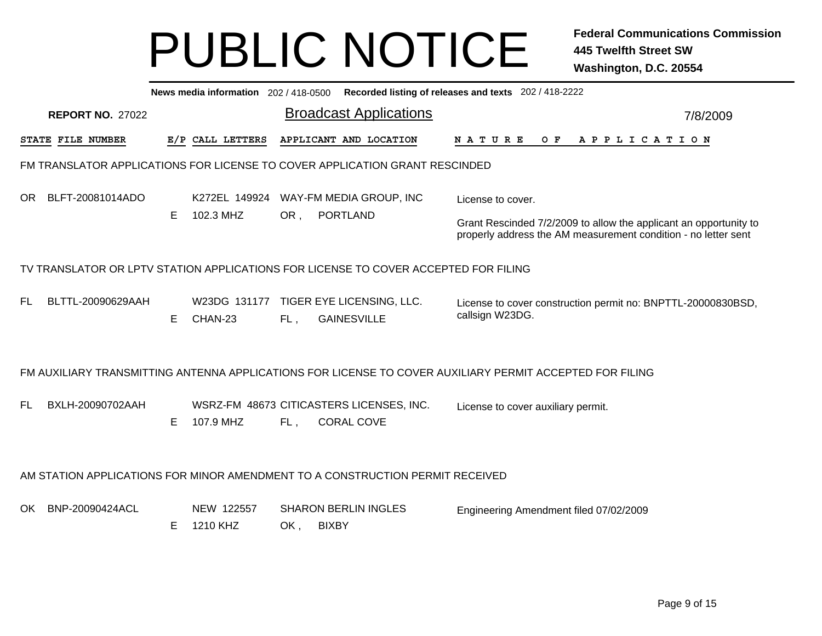|                                                                                                                                                                                                        | News media information 202 / 418-0500<br>Recorded listing of releases and texts 202 / 418-2222 |    |                        |     |                                                                                     |                                                                                                                                     |          |  |  |  |  |  |
|--------------------------------------------------------------------------------------------------------------------------------------------------------------------------------------------------------|------------------------------------------------------------------------------------------------|----|------------------------|-----|-------------------------------------------------------------------------------------|-------------------------------------------------------------------------------------------------------------------------------------|----------|--|--|--|--|--|
|                                                                                                                                                                                                        | <b>REPORT NO. 27022</b>                                                                        |    |                        |     | <b>Broadcast Applications</b>                                                       |                                                                                                                                     | 7/8/2009 |  |  |  |  |  |
|                                                                                                                                                                                                        | STATE FILE NUMBER                                                                              |    | E/P CALL LETTERS       |     | APPLICANT AND LOCATION                                                              | <b>NATURE</b><br>O F<br>A P P L I C A T I O N                                                                                       |          |  |  |  |  |  |
|                                                                                                                                                                                                        |                                                                                                |    |                        |     | FM TRANSLATOR APPLICATIONS FOR LICENSE TO COVER APPLICATION GRANT RESCINDED         |                                                                                                                                     |          |  |  |  |  |  |
| OR.                                                                                                                                                                                                    | BLFT-20081014ADO                                                                               |    | K272EL 149924          |     | WAY-FM MEDIA GROUP, INC                                                             | License to cover.                                                                                                                   |          |  |  |  |  |  |
|                                                                                                                                                                                                        |                                                                                                | E. | 102.3 MHZ              | OR, | <b>PORTLAND</b>                                                                     | Grant Rescinded 7/2/2009 to allow the applicant an opportunity to<br>properly address the AM measurement condition - no letter sent |          |  |  |  |  |  |
|                                                                                                                                                                                                        |                                                                                                |    |                        |     | TV TRANSLATOR OR LPTV STATION APPLICATIONS FOR LICENSE TO COVER ACCEPTED FOR FILING |                                                                                                                                     |          |  |  |  |  |  |
| BLTTL-20090629AAH<br>TIGER EYE LICENSING, LLC.<br>FL.<br>W23DG 131177<br>License to cover construction permit no: BNPTTL-20000830BSD,<br>callsign W23DG.<br>E.<br><b>GAINESVILLE</b><br>CHAN-23<br>FL, |                                                                                                |    |                        |     |                                                                                     |                                                                                                                                     |          |  |  |  |  |  |
|                                                                                                                                                                                                        |                                                                                                |    |                        |     |                                                                                     | FM AUXILIARY TRANSMITTING ANTENNA APPLICATIONS FOR LICENSE TO COVER AUXILIARY PERMIT ACCEPTED FOR FILING                            |          |  |  |  |  |  |
| <b>FL</b>                                                                                                                                                                                              | BXLH-20090702AAH                                                                               | E. | 107.9 MHZ              | FL, | WSRZ-FM 48673 CITICASTERS LICENSES, INC.<br><b>CORAL COVE</b>                       | License to cover auxiliary permit.                                                                                                  |          |  |  |  |  |  |
|                                                                                                                                                                                                        |                                                                                                |    |                        |     | AM STATION APPLICATIONS FOR MINOR AMENDMENT TO A CONSTRUCTION PERMIT RECEIVED       |                                                                                                                                     |          |  |  |  |  |  |
| OK                                                                                                                                                                                                     | BNP-20090424ACL                                                                                | E. | NEW 122557<br>1210 KHZ | OK, | <b>SHARON BERLIN INGLES</b><br><b>BIXBY</b>                                         | Engineering Amendment filed 07/02/2009                                                                                              |          |  |  |  |  |  |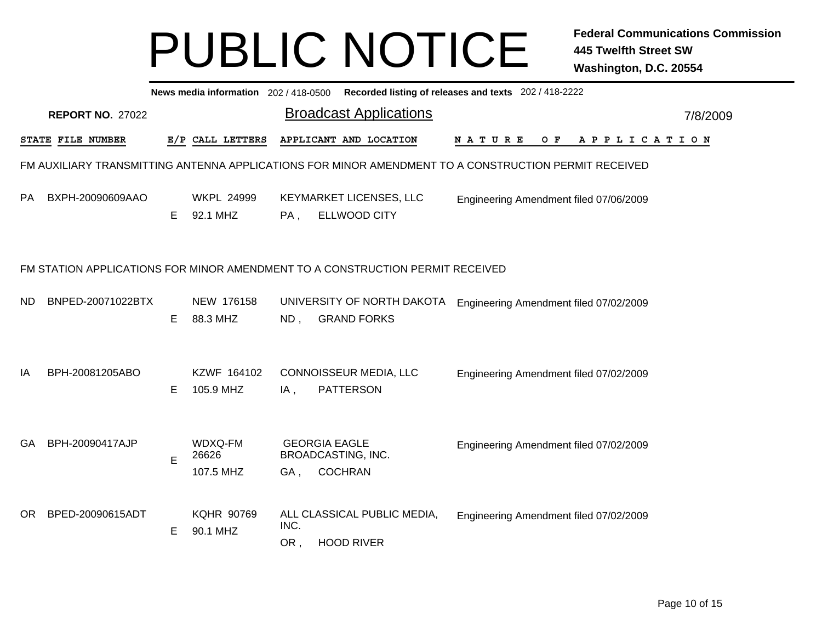|           | News media information 202 / 418-0500 Recorded listing of releases and texts 202 / 418-2222 |    |                               |             |                                                                                                      |                                        |     |                       |          |  |  |  |  |
|-----------|---------------------------------------------------------------------------------------------|----|-------------------------------|-------------|------------------------------------------------------------------------------------------------------|----------------------------------------|-----|-----------------------|----------|--|--|--|--|
|           | <b>REPORT NO. 27022</b>                                                                     |    |                               |             | <b>Broadcast Applications</b>                                                                        |                                        |     |                       | 7/8/2009 |  |  |  |  |
|           | STATE FILE NUMBER                                                                           |    | E/P CALL LETTERS              |             | APPLICANT AND LOCATION                                                                               | <b>NATURE</b>                          | O F | A P P L I C A T I O N |          |  |  |  |  |
|           |                                                                                             |    |                               |             | FM AUXILIARY TRANSMITTING ANTENNA APPLICATIONS FOR MINOR AMENDMENT TO A CONSTRUCTION PERMIT RECEIVED |                                        |     |                       |          |  |  |  |  |
| <b>PA</b> | BXPH-20090609AAO                                                                            | E. | <b>WKPL 24999</b><br>92.1 MHZ | PA,         | KEYMARKET LICENSES, LLC<br><b>ELLWOOD CITY</b>                                                       | Engineering Amendment filed 07/06/2009 |     |                       |          |  |  |  |  |
|           |                                                                                             |    |                               |             | FM STATION APPLICATIONS FOR MINOR AMENDMENT TO A CONSTRUCTION PERMIT RECEIVED                        |                                        |     |                       |          |  |  |  |  |
| <b>ND</b> | BNPED-20071022BTX                                                                           | E. | NEW 176158<br>88.3 MHZ        | ND,         | UNIVERSITY OF NORTH DAKOTA<br><b>GRAND FORKS</b>                                                     | Engineering Amendment filed 07/02/2009 |     |                       |          |  |  |  |  |
| IA        | BPH-20081205ABO                                                                             | E. | KZWF 164102<br>105.9 MHZ      | IA,         | CONNOISSEUR MEDIA, LLC<br><b>PATTERSON</b>                                                           | Engineering Amendment filed 07/02/2009 |     |                       |          |  |  |  |  |
| GA        | BPH-20090417AJP                                                                             | E  | WDXQ-FM<br>26626<br>107.5 MHZ | GA,         | <b>GEORGIA EAGLE</b><br>BROADCASTING, INC.<br><b>COCHRAN</b>                                         | Engineering Amendment filed 07/02/2009 |     |                       |          |  |  |  |  |
| OR.       | BPED-20090615ADT                                                                            | E. | <b>KQHR 90769</b><br>90.1 MHZ | INC.<br>OR, | ALL CLASSICAL PUBLIC MEDIA,<br><b>HOOD RIVER</b>                                                     | Engineering Amendment filed 07/02/2009 |     |                       |          |  |  |  |  |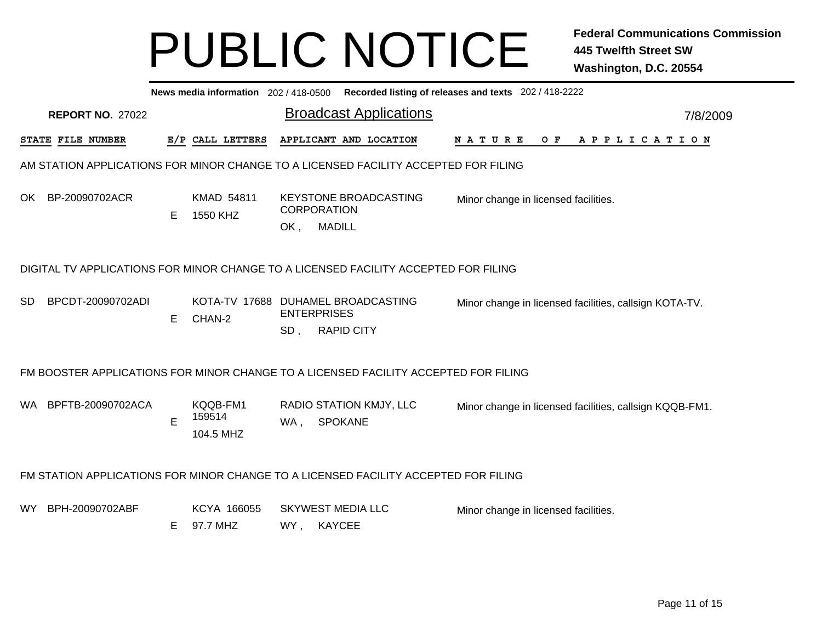|                                                                                                                                                                                           | News media information 202/418-0500 Recorded listing of releases and texts 202/418-2222                                                       |   |                                 |     |                                                                                     |                                                         |  |  |  |  |  |  |
|-------------------------------------------------------------------------------------------------------------------------------------------------------------------------------------------|-----------------------------------------------------------------------------------------------------------------------------------------------|---|---------------------------------|-----|-------------------------------------------------------------------------------------|---------------------------------------------------------|--|--|--|--|--|--|
|                                                                                                                                                                                           | <b>REPORT NO. 27022</b>                                                                                                                       |   |                                 |     | <b>Broadcast Applications</b>                                                       | 7/8/2009                                                |  |  |  |  |  |  |
|                                                                                                                                                                                           | STATE FILE NUMBER                                                                                                                             |   | E/P CALL LETTERS                |     | APPLICANT AND LOCATION                                                              | NATURE<br>APPLICATION<br>O F                            |  |  |  |  |  |  |
|                                                                                                                                                                                           |                                                                                                                                               |   |                                 |     | AM STATION APPLICATIONS FOR MINOR CHANGE TO A LICENSED FACILITY ACCEPTED FOR FILING |                                                         |  |  |  |  |  |  |
| OK.                                                                                                                                                                                       | BP-20090702ACR                                                                                                                                | E | <b>KMAD 54811</b><br>1550 KHZ   | OK, | <b>KEYSTONE BROADCASTING</b><br><b>CORPORATION</b><br><b>MADILL</b>                 | Minor change in licensed facilities.                    |  |  |  |  |  |  |
|                                                                                                                                                                                           | DIGITAL TV APPLICATIONS FOR MINOR CHANGE TO A LICENSED FACILITY ACCEPTED FOR FILING                                                           |   |                                 |     |                                                                                     |                                                         |  |  |  |  |  |  |
| BPCDT-20090702ADI<br>KOTA-TV 17688 DUHAMEL BROADCASTING<br>SD.<br>Minor change in licensed facilities, callsign KOTA-TV.<br><b>ENTERPRISES</b><br>CHAN-2<br>Е<br><b>RAPID CITY</b><br>SD. |                                                                                                                                               |   |                                 |     |                                                                                     |                                                         |  |  |  |  |  |  |
|                                                                                                                                                                                           |                                                                                                                                               |   |                                 |     | FM BOOSTER APPLICATIONS FOR MINOR CHANGE TO A LICENSED FACILITY ACCEPTED FOR FILING |                                                         |  |  |  |  |  |  |
| WA.                                                                                                                                                                                       | BPFTB-20090702ACA                                                                                                                             | E | KQQB-FM1<br>159514<br>104.5 MHZ | WA, | RADIO STATION KMJY, LLC<br><b>SPOKANE</b>                                           | Minor change in licensed facilities, callsign KQQB-FM1. |  |  |  |  |  |  |
|                                                                                                                                                                                           | FM STATION APPLICATIONS FOR MINOR CHANGE TO A LICENSED FACILITY ACCEPTED FOR FILING                                                           |   |                                 |     |                                                                                     |                                                         |  |  |  |  |  |  |
| WY.                                                                                                                                                                                       | BPH-20090702ABF<br>KCYA 166055<br><b>SKYWEST MEDIA LLC</b><br>Minor change in licensed facilities.<br>97.7 MHZ<br><b>KAYCEE</b><br>WY ,<br>E. |   |                                 |     |                                                                                     |                                                         |  |  |  |  |  |  |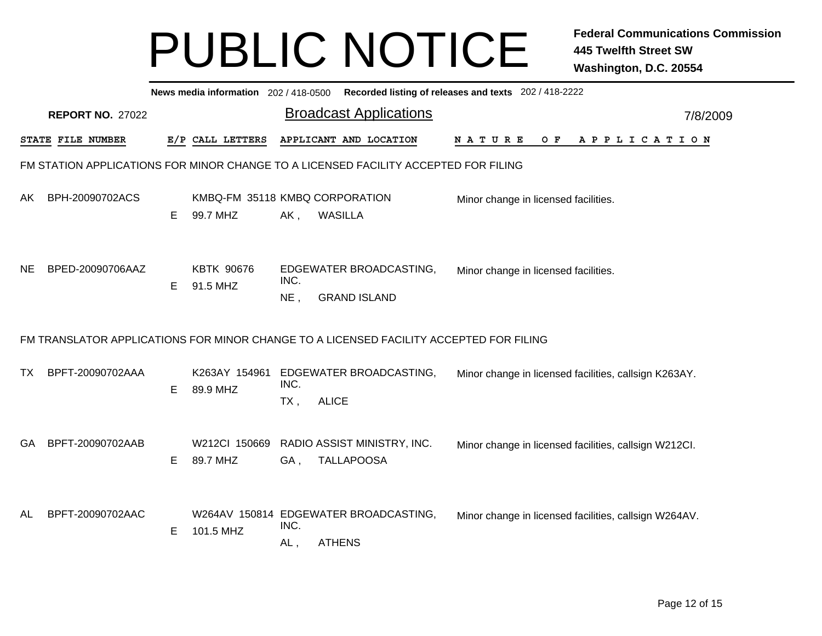|           | News media information 202/418-0500 Recorded listing of releases and texts 202/418-2222 |    |                                            |                |                                                                                        |                                                       |  |  |  |     |  |  |  |                       |  |          |  |
|-----------|-----------------------------------------------------------------------------------------|----|--------------------------------------------|----------------|----------------------------------------------------------------------------------------|-------------------------------------------------------|--|--|--|-----|--|--|--|-----------------------|--|----------|--|
|           | <b>REPORT NO. 27022</b>                                                                 |    |                                            |                | <b>Broadcast Applications</b>                                                          |                                                       |  |  |  |     |  |  |  |                       |  | 7/8/2009 |  |
|           | STATE FILE NUMBER                                                                       |    | E/P CALL LETTERS                           |                | APPLICANT AND LOCATION                                                                 | N A T U R E                                           |  |  |  | O F |  |  |  | A P P L I C A T I O N |  |          |  |
|           |                                                                                         |    |                                            |                | FM STATION APPLICATIONS FOR MINOR CHANGE TO A LICENSED FACILITY ACCEPTED FOR FILING    |                                                       |  |  |  |     |  |  |  |                       |  |          |  |
| AK        | BPH-20090702ACS                                                                         | Е  | KMBQ-FM 35118 KMBQ CORPORATION<br>99.7 MHZ | AK,            | <b>WASILLA</b>                                                                         | Minor change in licensed facilities.                  |  |  |  |     |  |  |  |                       |  |          |  |
| <b>NE</b> | BPED-20090706AAZ                                                                        | E. | <b>KBTK 90676</b><br>91.5 MHZ              | INC.<br>$NE$ , | EDGEWATER BROADCASTING,<br><b>GRAND ISLAND</b>                                         | Minor change in licensed facilities.                  |  |  |  |     |  |  |  |                       |  |          |  |
|           |                                                                                         |    |                                            |                | FM TRANSLATOR APPLICATIONS FOR MINOR CHANGE TO A LICENSED FACILITY ACCEPTED FOR FILING |                                                       |  |  |  |     |  |  |  |                       |  |          |  |
| <b>TX</b> | BPFT-20090702AAA                                                                        | Е  | K263AY 154961<br>89.9 MHZ                  | INC.<br>TX,    | EDGEWATER BROADCASTING,<br><b>ALICE</b>                                                | Minor change in licensed facilities, callsign K263AY. |  |  |  |     |  |  |  |                       |  |          |  |
| GA        | BPFT-20090702AAB                                                                        | Е  | W212Cl 150669<br>89.7 MHZ                  | GA,            | RADIO ASSIST MINISTRY, INC.<br><b>TALLAPOOSA</b>                                       | Minor change in licensed facilities, callsign W212Cl. |  |  |  |     |  |  |  |                       |  |          |  |
| AL        | BPFT-20090702AAC                                                                        | Е  | 101.5 MHZ                                  | INC.<br>AL,    | W264AV 150814 EDGEWATER BROADCASTING,<br><b>ATHENS</b>                                 | Minor change in licensed facilities, callsign W264AV. |  |  |  |     |  |  |  |                       |  |          |  |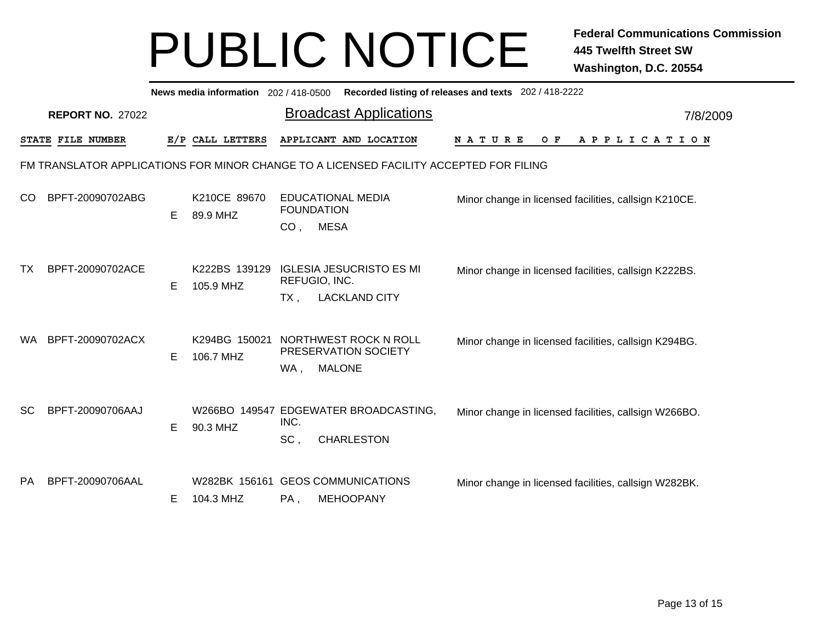| News media information 202 / 418-0500 Recorded listing of releases and texts 202 / 418-2222 |                         |   |                            |                                               |                                                  |                                                       |  |          |  |
|---------------------------------------------------------------------------------------------|-------------------------|---|----------------------------|-----------------------------------------------|--------------------------------------------------|-------------------------------------------------------|--|----------|--|
|                                                                                             | <b>REPORT NO. 27022</b> |   |                            |                                               | <b>Broadcast Applications</b>                    |                                                       |  | 7/8/2009 |  |
| STATE FILE NUMBER<br>E/P CALL LETTERS                                                       |                         |   |                            | APPLICANT AND LOCATION                        | O F<br>N A T U R E                               | A P P L I C A T I O N                                 |  |          |  |
| FM TRANSLATOR APPLICATIONS FOR MINOR CHANGE TO A LICENSED FACILITY ACCEPTED FOR FILING      |                         |   |                            |                                               |                                                  |                                                       |  |          |  |
| CO.                                                                                         | BPFT-20090702ABG        | Е | K210CE 89670<br>89.9 MHZ   | <b>EDUCATIONAL MEDIA</b><br><b>FOUNDATION</b> |                                                  | Minor change in licensed facilities, callsign K210CE. |  |          |  |
|                                                                                             |                         |   |                            | CO <sub>1</sub>                               | <b>MESA</b>                                      |                                                       |  |          |  |
| TX.                                                                                         | BPFT-20090702ACE        | Е | K222BS 139129<br>105.9 MHZ |                                               | <b>IGLESIA JESUCRISTO ES MI</b><br>REFUGIO, INC. | Minor change in licensed facilities, callsign K222BS. |  |          |  |
|                                                                                             |                         |   |                            | TX.                                           | <b>LACKLAND CITY</b>                             |                                                       |  |          |  |
| <b>WA</b>                                                                                   | BPFT-20090702ACX        | Е | K294BG 150021<br>106.7 MHZ | NORTHWEST ROCK N ROLL                         |                                                  | Minor change in licensed facilities, callsign K294BG. |  |          |  |
|                                                                                             |                         |   |                            | WA,                                           | PRESERVATION SOCIETY<br><b>MALONE</b>            |                                                       |  |          |  |
| SC.                                                                                         | BPFT-20090706AAJ        | Е | 90.3 MHZ                   |                                               |                                                  |                                                       |  |          |  |
|                                                                                             |                         |   |                            | W266BO 149547 EDGEWATER BROADCASTING,<br>INC. |                                                  | Minor change in licensed facilities, callsign W266BO. |  |          |  |
|                                                                                             |                         |   |                            | SC,                                           | <b>CHARLESTON</b>                                |                                                       |  |          |  |
| <b>PA</b>                                                                                   | BPFT-20090706AAL        |   |                            | W282BK 156161 GEOS COMMUNICATIONS             |                                                  | Minor change in licensed facilities, callsign W282BK. |  |          |  |
|                                                                                             |                         | Е | 104.3 MHZ                  | PA,                                           | <b>MEHOOPANY</b>                                 |                                                       |  |          |  |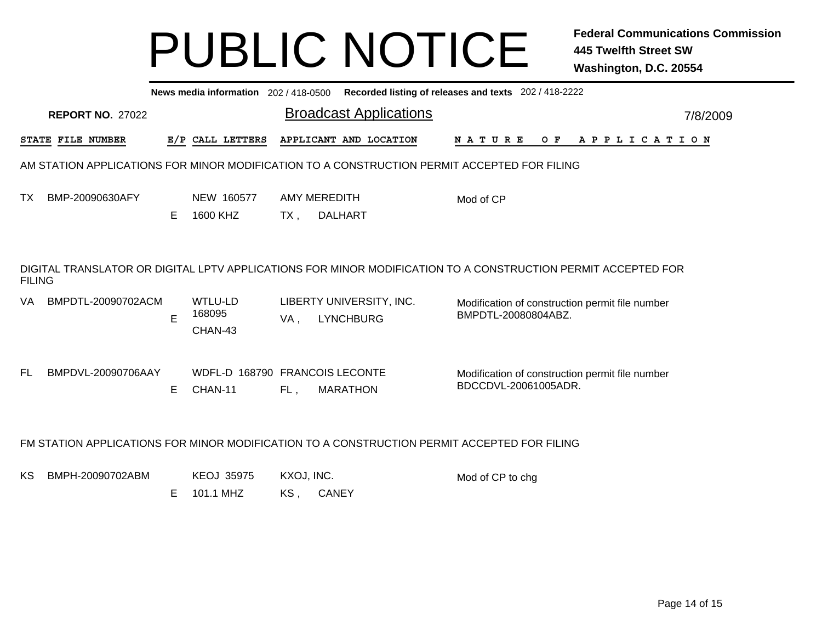| Recorded listing of releases and texts 202 / 418-2222<br>News media information 202 / 418-0500                                |                          |   |                                           |                   |                                              |                                                                         |          |  |  |  |
|-------------------------------------------------------------------------------------------------------------------------------|--------------------------|---|-------------------------------------------|-------------------|----------------------------------------------|-------------------------------------------------------------------------|----------|--|--|--|
| <b>REPORT NO. 27022</b>                                                                                                       |                          |   |                                           |                   | <b>Broadcast Applications</b>                |                                                                         | 7/8/2009 |  |  |  |
|                                                                                                                               | <b>STATE FILE NUMBER</b> |   | E/P CALL LETTERS                          |                   | APPLICANT AND LOCATION                       | <b>NATURE</b><br>O F<br>A P P L I C A T I O N                           |          |  |  |  |
| AM STATION APPLICATIONS FOR MINOR MODIFICATION TO A CONSTRUCTION PERMIT ACCEPTED FOR FILING                                   |                          |   |                                           |                   |                                              |                                                                         |          |  |  |  |
| ТX                                                                                                                            | BMP-20090630AFY          | Е | NEW 160577<br>1600 KHZ                    | TX.               | AMY MEREDITH<br><b>DALHART</b>               | Mod of CP                                                               |          |  |  |  |
| DIGITAL TRANSLATOR OR DIGITAL LPTV APPLICATIONS FOR MINOR MODIFICATION TO A CONSTRUCTION PERMIT ACCEPTED FOR<br><b>FILING</b> |                          |   |                                           |                   |                                              |                                                                         |          |  |  |  |
| VA                                                                                                                            | BMPDTL-20090702ACM       | E | <b>WTLU-LD</b><br>168095<br>CHAN-43       | VA,               | LIBERTY UNIVERSITY, INC.<br><b>LYNCHBURG</b> | Modification of construction permit file number<br>BMPDTL-20080804ABZ.  |          |  |  |  |
| FL.                                                                                                                           | BMPDVL-20090706AAY       | Е | WDFL-D 168790 FRANCOIS LECONTE<br>CHAN-11 | FL,               | <b>MARATHON</b>                              | Modification of construction permit file number<br>BDCCDVL-20061005ADR. |          |  |  |  |
| FM STATION APPLICATIONS FOR MINOR MODIFICATION TO A CONSTRUCTION PERMIT ACCEPTED FOR FILING                                   |                          |   |                                           |                   |                                              |                                                                         |          |  |  |  |
| ΚS                                                                                                                            | BMPH-20090702ABM         | Е | <b>KEOJ 35975</b><br>101.1 MHZ            | KXOJ, INC.<br>KS, | <b>CANEY</b>                                 | Mod of CP to chg                                                        |          |  |  |  |